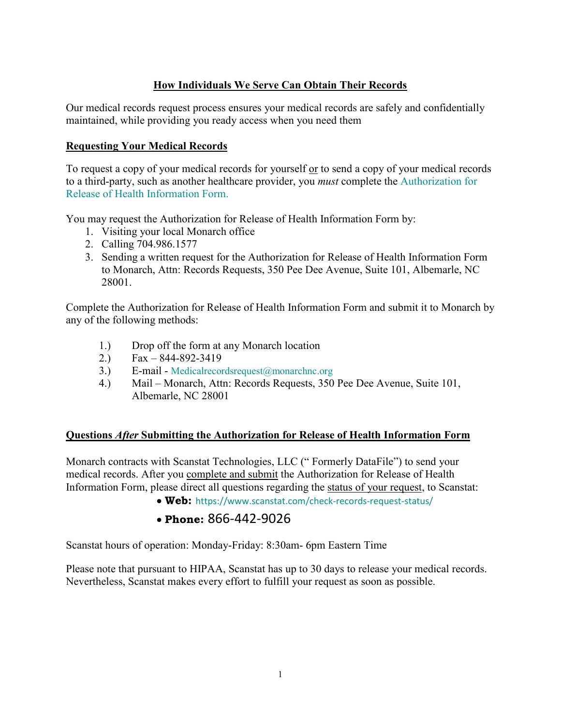# **How Individuals We Serve Can Obtain Their Records**

Our medical records request process ensures your medical records are safely and confidentially maintained, while providing you ready access when you need them

# **Requesting Your Medical Records**

To request a copy of your medical records for yourself or to send a copy of your medical records to a third-party, such as another healthcare provider, you *must* complete the Authorization for Release of Health Information Form.

You may request the Authorization for Release of Health Information Form by:

- 1. Visiting your local Monarch office
- 2. Calling 704.986.1577
- 3. Sending a written request for the Authorization for Release of Health Information Form to Monarch, Attn: Records Requests, 350 Pee Dee Avenue, Suite 101, Albemarle, NC 28001.

Complete the Authorization for Release of Health Information Form and submit it to Monarch by any of the following methods:

- 1.) Drop off the form at any Monarch location
- 2.) Fax 844-892-3419
- 3.) E-mail - [Medicalrecordsrequest@monarchnc.org](mailto:Medicalrecordsrequest@monarchnc.org)
- 4.) Mail Monarch, Attn: Records Requests, 350 Pee Dee Avenue, Suite 101, Albemarle, NC 28001

#### **Questions** *After* **Submitting the Authorization for Release of Health Information Form**

Monarch contracts with Scanstat Technologies, LLC (" Formerly DataFile") to send your medical records. After you complete and submit the Authorization for Release of Health Information Form, please direct all questions regarding the status of your request, to Scanstat:

• **Web:** <https://www.scanstat.com/check-records-request-status/>

# • **Phone:** 866-442-9026

Scanstat hours of operation: Monday-Friday: 8:30am- 6pm Eastern Time

Please note that pursuant to HIPAA, Scanstat has up to 30 days to release your medical records. Nevertheless, Scanstat makes every effort to fulfill your request as soon as possible.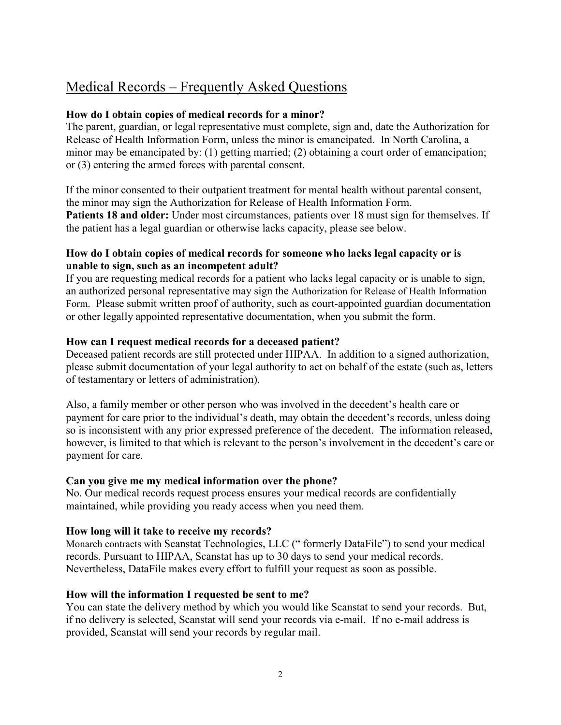# Medical Records – Frequently Asked Questions

# **How do I obtain copies of medical records for a minor?**

The parent, guardian, or legal representative must complete, sign and, date the Authorization for Release of Health Information Form, unless the minor is emancipated. In North Carolina, a minor may be emancipated by: (1) getting married; (2) obtaining a court order of emancipation; or (3) entering the armed forces with parental consent.

If the minor consented to their outpatient treatment for mental health without parental consent, the minor may sign the Authorization for Release of Health Information Form. **Patients 18 and older:** Under most circumstances, patients over 18 must sign for themselves. If the patient has a legal guardian or otherwise lacks capacity, please see below.

# **How do I obtain copies of medical records for someone who lacks legal capacity or is unable to sign, such as an incompetent adult?**

If you are requesting medical records for a patient who lacks legal capacity or is unable to sign, an authorized personal representative may sign the Authorization for Release of Health Information Form. Please submit written proof of authority, such as court-appointed guardian documentation or other legally appointed representative documentation, when you submit the form.

# **How can I request medical records for a deceased patient?**

Deceased patient records are still protected under HIPAA. In addition to a signed authorization, please submit documentation of your legal authority to act on behalf of the estate (such as, letters of testamentary or letters of administration).

Also, a family member or other person who was involved in the decedent's health care or payment for care prior to the individual's death, may obtain the decedent's records, unless doing so is inconsistent with any prior expressed preference of the decedent. The information released, however, is limited to that which is relevant to the person's involvement in the decedent's care or payment for care.

# **Can you give me my medical information over the phone?**

No. Our [medical records request process](https://www.carolinashealthcare.org/for-patients-visitors/medical-records) ensures your medical records are confidentially maintained, while providing you ready access when you need them.

# **How long will it take to receive my records?**

Monarch contracts with Scanstat Technologies, LLC (" formerly DataFile") to send your medical records. Pursuant to HIPAA, Scanstat has up to 30 days to send your medical records. Nevertheless, DataFile makes every effort to fulfill your request as soon as possible.

# **How will the information I requested be sent to me?**

You can state the delivery method by which you would like Scanstat to send your records. But, if no delivery is selected, Scanstat will send your records via e-mail. If no e-mail address is provided, Scanstat will send your records by regular mail.